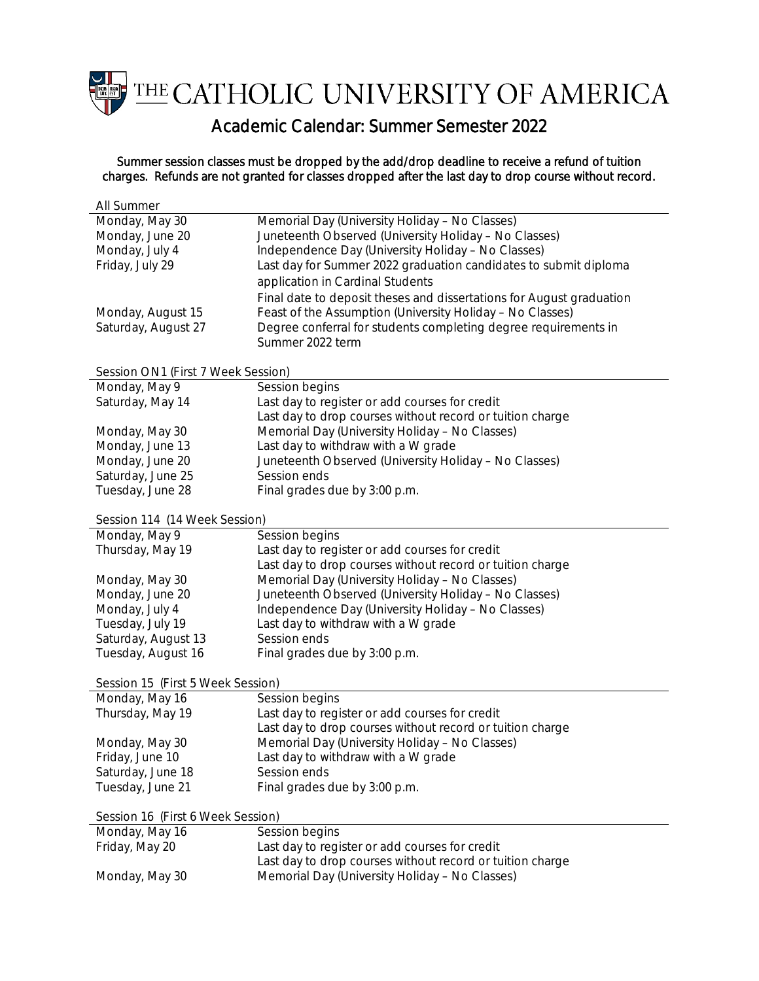THE CATHOLIC UNIVERSITY OF AMERICA

Academic Calendar: Summer Semester 2022

## Summer session classes must be dropped by the add/drop deadline to receive a refund of tuition charges. Refunds are not granted for classes dropped after the last day to drop course without record.

| All Summer                         |                                                                      |  |
|------------------------------------|----------------------------------------------------------------------|--|
| Monday, May 30                     | Memorial Day (University Holiday - No Classes)                       |  |
| Monday, June 20                    | Juneteenth Observed (University Holiday - No Classes)                |  |
| Monday, July 4                     | Independence Day (University Holiday - No Classes)                   |  |
| Friday, July 29                    | Last day for Summer 2022 graduation candidates to submit diploma     |  |
|                                    | application in Cardinal Students                                     |  |
|                                    | Final date to deposit theses and dissertations for August graduation |  |
| Monday, August 15                  | Feast of the Assumption (University Holiday - No Classes)            |  |
| Saturday, August 27                | Degree conferral for students completing degree requirements in      |  |
|                                    | Summer 2022 term                                                     |  |
|                                    |                                                                      |  |
| Session ON1 (First 7 Week Session) |                                                                      |  |
| Monday, May 9                      | Session begins                                                       |  |
| Saturday, May 14                   | Last day to register or add courses for credit                       |  |
|                                    | Last day to drop courses without record or tuition charge            |  |
| Monday, May 30                     | Memorial Day (University Holiday - No Classes)                       |  |
| Monday, June 13                    | Last day to withdraw with a W grade                                  |  |
| Monday, June 20                    | Juneteenth Observed (University Holiday - No Classes)                |  |
| Saturday, June 25                  | Session ends                                                         |  |
| Tuesday, June 28                   | Final grades due by 3:00 p.m.                                        |  |
|                                    |                                                                      |  |
| Session 114 (14 Week Session)      |                                                                      |  |
| Monday, May 9                      | Session begins                                                       |  |
| Thursday, May 19                   | Last day to register or add courses for credit                       |  |
|                                    | Last day to drop courses without record or tuition charge            |  |
| Monday, May 30                     | Memorial Day (University Holiday - No Classes)                       |  |
| Monday, June 20                    | Juneteenth Observed (University Holiday - No Classes)                |  |
| Monday, July 4                     | Independence Day (University Holiday - No Classes)                   |  |
| Tuesday, July 19                   | Last day to withdraw with a W grade                                  |  |
| Saturday, August 13                | Session ends                                                         |  |
| Tuesday, August 16                 | Final grades due by 3:00 p.m.                                        |  |
| Session 15 (First 5 Week Session)  |                                                                      |  |
| Monday, May 16                     | Session begins                                                       |  |
| Thursday, May 19                   | Last day to register or add courses for credit                       |  |
|                                    | Last day to drop courses without record or tuition charge            |  |
| Monday, May 30                     | Memorial Day (University Holiday - No Classes)                       |  |
| Friday, June 10                    | Last day to withdraw with a W grade                                  |  |
| Saturday, June 18                  | Session ends                                                         |  |
| Tuesday, June 21                   | Final grades due by 3:00 p.m.                                        |  |
|                                    |                                                                      |  |
| Session 16 (First 6 Week Session)  |                                                                      |  |
| Monday, May 16                     | Session begins                                                       |  |
| Friday, May 20                     | Last day to register or add courses for credit                       |  |
|                                    | Last day to drop courses without record or tuition charge            |  |
| Monday, May 30                     | Memorial Day (University Holiday - No Classes)                       |  |
|                                    |                                                                      |  |